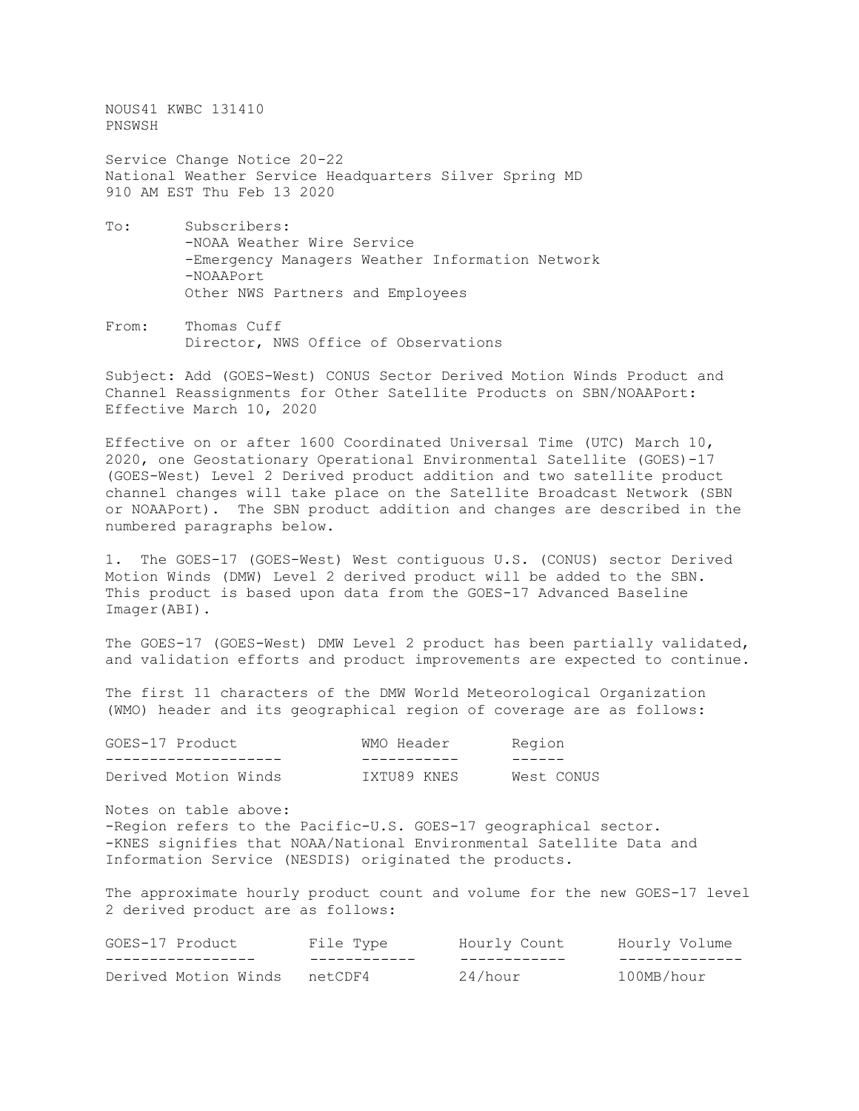NOUS41 KWBC 131410 PNSWSH

Service Change Notice 20-22 National Weather Service Headquarters Silver Spring MD 910 AM EST Thu Feb 13 2020

- To: Subscribers: -NOAA Weather Wire Service -Emergency Managers Weather Information Network -NOAAPort Other NWS Partners and Employees
- From: Thomas Cuff Director, NWS Office of Observations

Subject: Add (GOES-West) CONUS Sector Derived Motion Winds Product and Channel Reassignments for Other Satellite Products on SBN/NOAAPort: Effective March 10, 2020

Effective on or after 1600 Coordinated Universal Time (UTC) March 10, 2020, one Geostationary Operational Environmental Satellite (GOES)-17 (GOES-West) Level 2 Derived product addition and two satellite product channel changes will take place on the Satellite Broadcast Network (SBN or NOAAPort). The SBN product addition and changes are described in the numbered paragraphs below.

1. The GOES-17 (GOES-West) West contiguous U.S. (CONUS) sector Derived Motion Winds (DMW) Level 2 derived product will be added to the SBN. This product is based upon data from the GOES-17 Advanced Baseline Imager(ABI).

The GOES-17 (GOES-West) DMW Level 2 product has been partially validated, and validation efforts and product improvements are expected to continue.

The first 11 characters of the DMW World Meteorological Organization (WMO) header and its geographical region of coverage are as follows:

| GOES-17 Product      | WMO Header  | Region     |
|----------------------|-------------|------------|
|                      |             |            |
| Derived Motion Winds | IXTU89 KNES | West CONUS |

Notes on table above: -Region refers to the Pacific-U.S. GOES-17 geographical sector. -KNES signifies that NOAA/National Environmental Satellite Data and Information Service (NESDIS) originated the products.

The approximate hourly product count and volume for the new GOES-17 level 2 derived product are as follows:

| GOES-17 Product      | File Type | Hourly Count | Hourly Volume |
|----------------------|-----------|--------------|---------------|
|                      |           |              |               |
| Derived Motion Winds | netCDF4   | 24/hour      | 100MB/hour    |